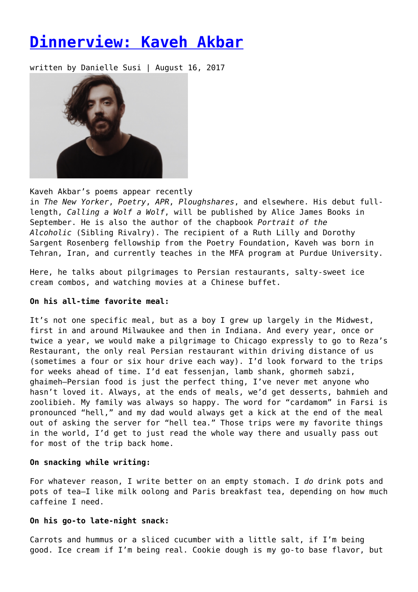# **[Dinnerview: Kaveh Akbar](https://entropymag.org/dinnerview-kaveh-akbar/)**

written by Danielle Susi | August 16, 2017



Kaveh Akbar's poems appear recently in *The New Yorker*, *Poetry*, *APR*, *Ploughshares*, and elsewhere. His debut fulllength, *Calling a Wolf a Wolf*, will be published by Alice James Books in September. He is also the author of the chapbook *Portrait of the Alcoholic* (Sibling Rivalry). The recipient of a Ruth Lilly and Dorothy Sargent Rosenberg fellowship from the Poetry Foundation, Kaveh was born in Tehran, Iran, and currently teaches in the MFA program at Purdue University.

Here, he talks about pilgrimages to Persian restaurants, salty-sweet ice cream combos, and watching movies at a Chinese buffet.

# **On his all-time favorite meal:**

It's not one specific meal, but as a boy I grew up largely in the Midwest, first in and around Milwaukee and then in Indiana. And every year, once or twice a year, we would make a pilgrimage to Chicago expressly to go to Reza's Restaurant, the only real Persian restaurant within driving distance of us (sometimes a four or six hour drive each way). I'd look forward to the trips for weeks ahead of time. I'd eat fessenjan, lamb shank, ghormeh sabzi, ghaimeh—Persian food is just the perfect thing, I've never met anyone who hasn't loved it. Always, at the ends of meals, we'd get desserts, bahmieh and zoolibieh. My family was always so happy. The word for "cardamom" in Farsi is pronounced "hell," and my dad would always get a kick at the end of the meal out of asking the server for "hell tea." Those trips were my favorite things in the world, I'd get to just read the whole way there and usually pass out for most of the trip back home.

#### **On snacking while writing:**

For whatever reason, I write better on an empty stomach. I *do* drink pots and pots of tea—I like milk oolong and Paris breakfast tea, depending on how much caffeine I need.

#### **On his go-to late-night snack:**

Carrots and hummus or a sliced cucumber with a little salt, if I'm being good. Ice cream if I'm being real. Cookie dough is my go-to base flavor, but